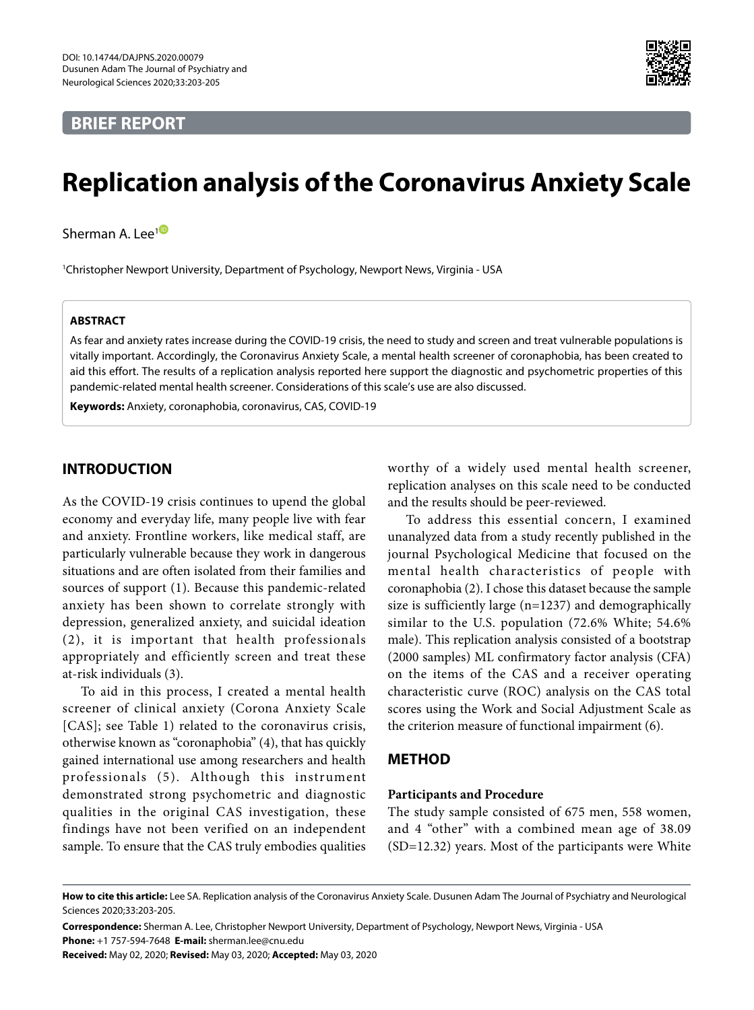# **BRIEF REPORT**



# **Replication analysis of the Coronavirus Anxiety Scale**

Sherman A. Lee<sup>[1](https://orcid.org/0000-0003-1878-3472)</sub><sup>®</sup></sup>

1 Christopher Newport University, Department of Psychology, Newport News, Virginia - USA

#### **ABSTRACT**

As fear and anxiety rates increase during the COVID-19 crisis, the need to study and screen and treat vulnerable populations is vitally important. Accordingly, the Coronavirus Anxiety Scale, a mental health screener of coronaphobia, has been created to aid this effort. The results of a replication analysis reported here support the diagnostic and psychometric properties of this pandemic-related mental health screener. Considerations of this scale's use are also discussed.

**Keywords:** Anxiety, coronaphobia, coronavirus, CAS, COVID-19

# **INTRODUCTION**

As the COVID-19 crisis continues to upend the global economy and everyday life, many people live with fear and anxiety. Frontline workers, like medical staff, are particularly vulnerable because they work in dangerous situations and are often isolated from their families and sources of support (1). Because this pandemic-related anxiety has been shown to correlate strongly with depression, generalized anxiety, and suicidal ideation (2), it is important that health professionals appropriately and efficiently screen and treat these at-risk individuals (3).

To aid in this process, I created a mental health screener of clinical anxiety (Corona Anxiety Scale [CAS]; see Table 1) related to the coronavirus crisis, otherwise known as "coronaphobia" (4), that has quickly gained international use among researchers and health professionals (5). Although this instrument demonstrated strong psychometric and diagnostic qualities in the original CAS investigation, these findings have not been verified on an independent sample. To ensure that the CAS truly embodies qualities

worthy of a widely used mental health screener, replication analyses on this scale need to be conducted and the results should be peer-reviewed.

To address this essential concern, I examined unanalyzed data from a study recently published in the journal Psychological Medicine that focused on the mental health characteristics of people with coronaphobia (2). I chose this dataset because the sample size is sufficiently large (n=1237) and demographically similar to the U.S. population (72.6% White; 54.6% male). This replication analysis consisted of a bootstrap (2000 samples) ML confirmatory factor analysis (CFA) on the items of the CAS and a receiver operating characteristic curve (ROC) analysis on the CAS total scores using the Work and Social Adjustment Scale as the criterion measure of functional impairment (6).

## **METHOD**

# **Participants and Procedure**

The study sample consisted of 675 men, 558 women, and 4 "other" with a combined mean age of 38.09 (SD=12.32) years. Most of the participants were White

**Correspondence:** Sherman A. Lee, Christopher Newport University, Department of Psychology, Newport News, Virginia - USA **Phone:** +1 757-594-7648 **E-mail:** sherman.lee@cnu.edu

**Received:** May 02, 2020; **Revised:** May 03, 2020; **Accepted:** May 03, 2020

**How to cite this article:** Lee SA. Replication analysis of the Coronavirus Anxiety Scale. Dusunen Adam The Journal of Psychiatry and Neurological Sciences 2020;33:203-205.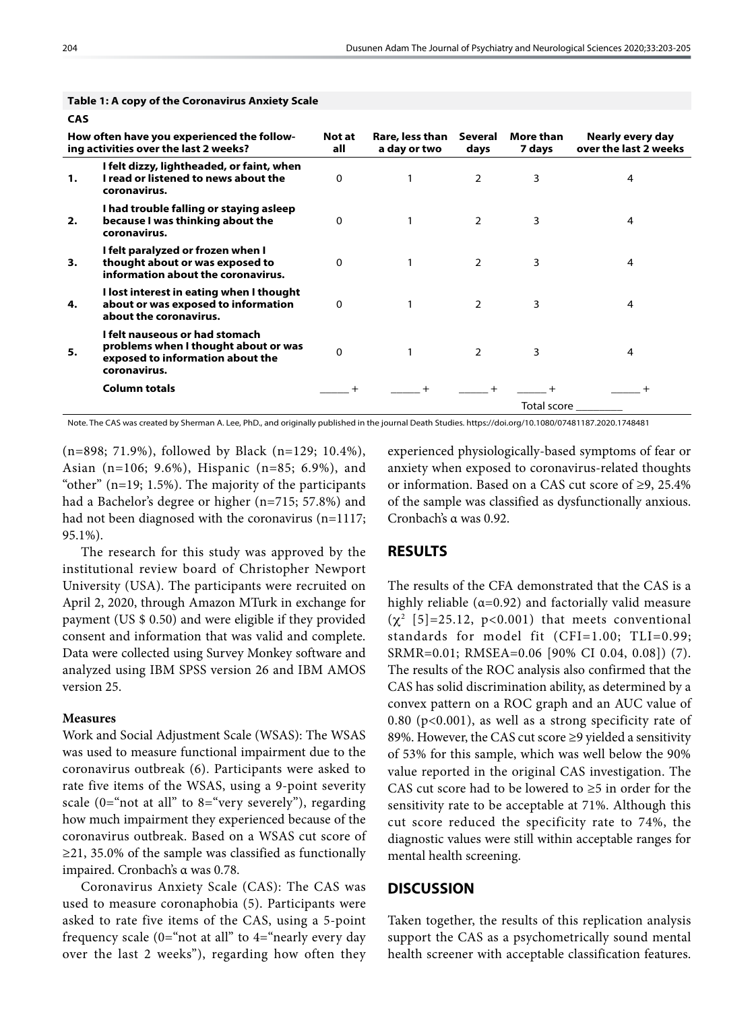| כת |                                                                                                                                                                                                                                                                                         |               |                                 |                 |                     |                                           |
|----|-----------------------------------------------------------------------------------------------------------------------------------------------------------------------------------------------------------------------------------------------------------------------------------------|---------------|---------------------------------|-----------------|---------------------|-------------------------------------------|
|    | How often have you experienced the follow-<br>ing activities over the last 2 weeks?<br>I felt dizzy, lightheaded, or faint, when<br>I read or listened to news about the<br>coronavirus.<br>I had trouble falling or staying asleep<br>because I was thinking about the<br>coronavirus. | Not at<br>all | Rare, less than<br>a day or two | Several<br>days | More than<br>7 days | Nearly every day<br>over the last 2 weeks |
| 1. |                                                                                                                                                                                                                                                                                         | $\Omega$      |                                 | $\overline{2}$  | 3                   | 4                                         |
| 2. |                                                                                                                                                                                                                                                                                         | $\Omega$      |                                 | 2               | 3                   | 4                                         |
| 3. | I felt paralyzed or frozen when I<br>thought about or was exposed to<br>information about the coronavirus.                                                                                                                                                                              | $\Omega$      | 1                               | $\overline{2}$  | 3                   | 4                                         |
| 4. | I lost interest in eating when I thought<br>about or was exposed to information<br>about the coronavirus.                                                                                                                                                                               | $\Omega$      |                                 | $\overline{2}$  | 3                   | 4                                         |
| 5. | I felt nauseous or had stomach<br>problems when I thought about or was<br>exposed to information about the<br>coronavirus.                                                                                                                                                              | $\Omega$      |                                 | $\overline{2}$  | 3                   | 4                                         |
|    | <b>Column totals</b>                                                                                                                                                                                                                                                                    |               |                                 |                 |                     |                                           |
|    |                                                                                                                                                                                                                                                                                         |               |                                 |                 | Total score         |                                           |

#### **Table 1: A copy of the Coronavirus Anxiety Scale**

Note. The CAS was created by Sherman A. Lee, PhD., and originally published in the journal Death Studies. https://doi.org/10.1080/07481187.2020.1748481

(n=898; 71.9%), followed by Black (n=129; 10.4%), Asian (n=106; 9.6%), Hispanic (n=85; 6.9%), and "other" (n=19; 1.5%). The majority of the participants had a Bachelor's degree or higher (n=715; 57.8%) and had not been diagnosed with the coronavirus (n=1117; 95.1%).

The research for this study was approved by the institutional review board of Christopher Newport University (USA). The participants were recruited on April 2, 2020, through Amazon MTurk in exchange for payment (US \$ 0.50) and were eligible if they provided consent and information that was valid and complete. Data were collected using Survey Monkey software and analyzed using IBM SPSS version 26 and IBM AMOS version 25.

#### **Measures**

Work and Social Adjustment Scale (WSAS): The WSAS was used to measure functional impairment due to the coronavirus outbreak (6). Participants were asked to rate five items of the WSAS, using a 9-point severity scale  $(0=$ "not at all" to  $8=$ "very severely"), regarding how much impairment they experienced because of the coronavirus outbreak. Based on a WSAS cut score of ≥21, 35.0% of the sample was classified as functionally impaired. Cronbach's α was 0.78.

Coronavirus Anxiety Scale (CAS): The CAS was used to measure coronaphobia (5). Participants were asked to rate five items of the CAS, using a 5-point frequency scale  $(0=$ "not at all" to  $4=$ "nearly every day over the last 2 weeks"), regarding how often they experienced physiologically-based symptoms of fear or anxiety when exposed to coronavirus-related thoughts or information. Based on a CAS cut score of ≥9, 25.4% of the sample was classified as dysfunctionally anxious. Cronbach's α was 0.92.

## **RESULTS**

The results of the CFA demonstrated that the CAS is a highly reliable ( $\alpha$ =0.92) and factorially valid measure  $(\chi^2 \ [5] = 25.12, \ p < 0.001)$  that meets conventional standards for model fit (CFI=1.00; TLI=0.99; SRMR=0.01; RMSEA=0.06 [90% CI 0.04, 0.08]) (7). The results of the ROC analysis also confirmed that the CAS has solid discrimination ability, as determined by a convex pattern on a ROC graph and an AUC value of 0.80 (p<0.001), as well as a strong specificity rate of 89%. However, the CAS cut score ≥9 yielded a sensitivity of 53% for this sample, which was well below the 90% value reported in the original CAS investigation. The CAS cut score had to be lowered to  $\geq$ 5 in order for the sensitivity rate to be acceptable at 71%. Although this cut score reduced the specificity rate to 74%, the diagnostic values were still within acceptable ranges for mental health screening.

## **DISCUSSION**

Taken together, the results of this replication analysis support the CAS as a psychometrically sound mental health screener with acceptable classification features.

**CAS**